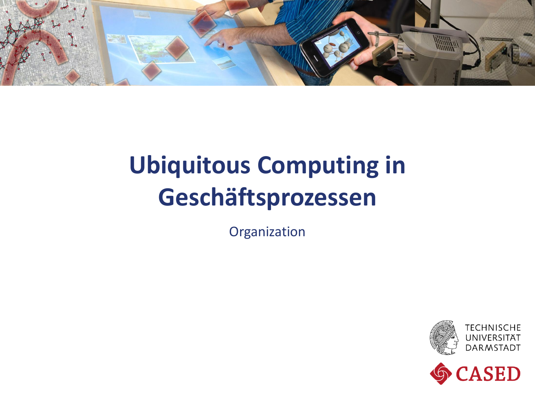

## **Ubiquitous Computing in Geschäftsprozessen**

Organization



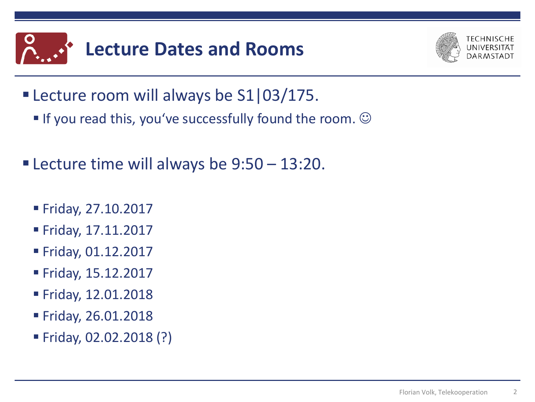



- **Lecture room will always be S1|03/175.** 
	- If you read this, you've successfully found the room.  $\odot$
- **Example 1 Fellow Lecture time will always be 9:50 13:20.** 
	- Friday, 27.10.2017
	- Friday, 17.11.2017
	- Friday, 01.12.2017
	- Friday, 15.12.2017
	- Friday, 12.01.2018
	- Friday, 26.01.2018
	- Friday, 02.02.2018 (?)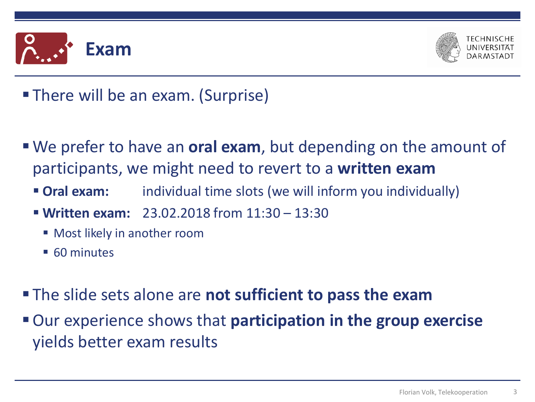



- **There will be an exam. (Surprise)**
- We prefer to have an **oral exam**, but depending on the amount of participants, we might need to revert to a **written exam**
	- **Oral exam:** individual time slots (we will inform you individually)
	- **Written exam:** 23.02.2018 from 11:30 13:30
		- **Most likely in another room**
		- 60 minutes
- The slide sets alone are **not sufficient to pass the exam**
- Our experience shows that **participation in the group exercise** yields better exam results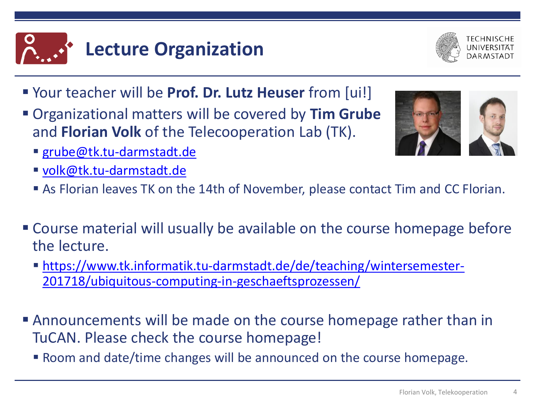



- Your teacher will be **Prof. Dr. Lutz Heuser** from [ui!]
- Organizational matters will be covered by **Tim Grube** and **Florian Volk** of the Telecooperation Lab (TK).
	- [grube@tk.tu-darmstadt.de](mailto:grube@tk.tu-darmstadt.de)
	- [volk@tk.tu-darmstadt.de](mailto:volk@tk.tu-darmstadt.de)
	- As Florian leaves TK on the 14th of November, please contact Tim and CC Florian.
- Course material will usually be available on the course homepage before the lecture.
	- [https://www.tk.informatik.tu-darmstadt.de/de/teaching/wintersemester-](https://www.tk.informatik.tu-darmstadt.de/de/teaching/wintersemester-201718/ubiquitous-computing-in-geschaeftsprozessen/)201718/ubiquitous-computing-in-geschaeftsprozessen/
- Announcements will be made on the course homepage rather than in TuCAN. Please check the course homepage!
	- Room and date/time changes will be announced on the course homepage.